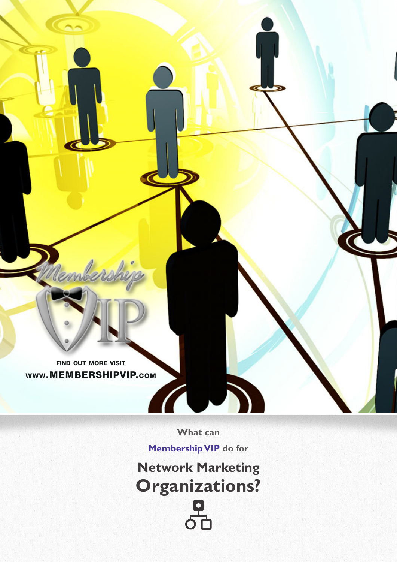find out more visit www.MEMBERSHIPVIP.com

Rember

**What can** 

L.

**Membership VIP do for**

**CONTROL** 

**Network Marketing Organizations?** <u>요</u><br>이번